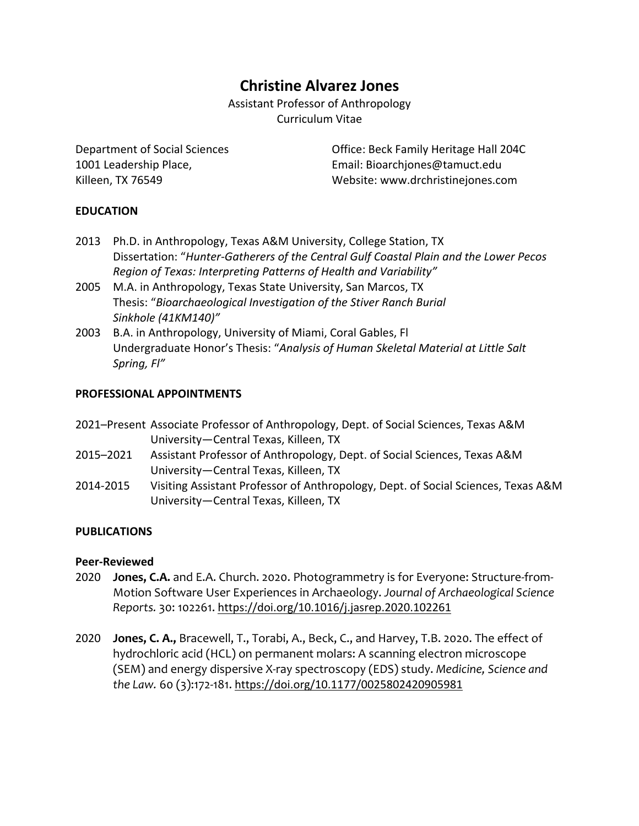# **Christine Alvarez Jones**

Assistant Professor of Anthropology Curriculum Vitae

Department of Social Sciences Office: Beck Family Heritage Hall 204C 1001 Leadership Place, Email: Bioarchjones@tamuct.edu Killeen, TX 76549 Website: www.drchristinejones.com

# **EDUCATION**

- 2013 Ph.D. in Anthropology, Texas A&M University, College Station, TX Dissertation: "*Hunter-Gatherers of the Central Gulf Coastal Plain and the Lower Pecos Region of Texas: Interpreting Patterns of Health and Variability"*
- 2005 M.A. in Anthropology, Texas State University, San Marcos, TX Thesis: "*Bioarchaeological Investigation of the Stiver Ranch Burial Sinkhole (41KM140)"*
- 2003 B.A. in Anthropology, University of Miami, Coral Gables, Fl Undergraduate Honor's Thesis: "*Analysis of Human Skeletal Material at Little Salt Spring, Fl"*

# **PROFESSIONAL APPOINTMENTS**

- 2021–Present Associate Professor of Anthropology, Dept. of Social Sciences, Texas A&M University—Central Texas, Killeen, TX
- 2015–2021 Assistant Professor of Anthropology, Dept. of Social Sciences, Texas A&M University—Central Texas, Killeen, TX
- 2014-2015 Visiting Assistant Professor of Anthropology, Dept. of Social Sciences, Texas A&M University—Central Texas, Killeen, TX

# **PUBLICATIONS**

## **Peer-Reviewed**

- 2020 **Jones, C.A.** and E.A. Church. 2020. Photogrammetry is for Everyone: Structure-from-Motion Software User Experiences in Archaeology. *Journal of Archaeological Science Reports.* 30: 102261. https://doi.org/10.1016/j.jasrep.2020.102261
- 2020 **Jones, C. A.,** Bracewell, T., Torabi, A., Beck, C., and Harvey, T.B. 2020. The effect of hydrochloric acid (HCL) on permanent molars: A scanning electron microscope (SEM) and energy dispersive X-ray spectroscopy (EDS) study. *Medicine, Science and the Law.* 60 (3):172-181. https://doi.org/10.1177/0025802420905981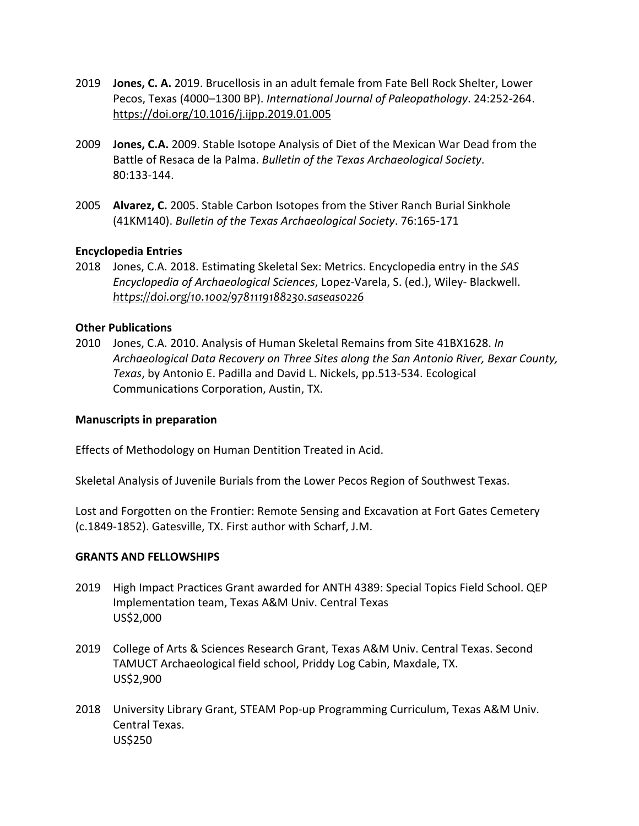- 2019 **Jones, C. A.** 2019. Brucellosis in an adult female from Fate Bell Rock Shelter, Lower Pecos, Texas (4000–1300 BP). *International Journal of Paleopathology*. 24:252-264. https://doi.org/10.1016/j.ijpp.2019.01.005
- 2009 **Jones, C.A.** 2009. Stable Isotope Analysis of Diet of the Mexican War Dead from the Battle of Resaca de la Palma. *Bulletin of the Texas Archaeological Society*. 80:133-144.
- 2005 **Alvarez, C.** 2005. Stable Carbon Isotopes from the Stiver Ranch Burial Sinkhole (41KM140). *Bulletin of the Texas Archaeological Society*. 76:165-171

#### **Encyclopedia Entries**

2018 Jones, C.A. 2018. Estimating Skeletal Sex: Metrics. Encyclopedia entry in the *SAS Encyclopedia of Archaeological Sciences*, Lopez-Varela, S. (ed.), Wiley- Blackwell. *https://doi.org/10.1002/9781119188230.saseas0226*

#### **Other Publications**

2010 Jones, C.A. 2010. Analysis of Human Skeletal Remains from Site 41BX1628. *In Archaeological Data Recovery on Three Sites along the San Antonio River, Bexar County, Texas*, by Antonio E. Padilla and David L. Nickels, pp.513-534. Ecological Communications Corporation, Austin, TX.

#### **Manuscripts in preparation**

Effects of Methodology on Human Dentition Treated in Acid.

Skeletal Analysis of Juvenile Burials from the Lower Pecos Region of Southwest Texas.

Lost and Forgotten on the Frontier: Remote Sensing and Excavation at Fort Gates Cemetery (c.1849-1852). Gatesville, TX. First author with Scharf, J.M.

#### **GRANTS AND FELLOWSHIPS**

- 2019 High Impact Practices Grant awarded for ANTH 4389: Special Topics Field School. QEP Implementation team, Texas A&M Univ. Central Texas US\$2,000
- 2019 College of Arts & Sciences Research Grant, Texas A&M Univ. Central Texas. Second TAMUCT Archaeological field school, Priddy Log Cabin, Maxdale, TX. US\$2,900
- 2018 University Library Grant, STEAM Pop-up Programming Curriculum, Texas A&M Univ. Central Texas. US\$250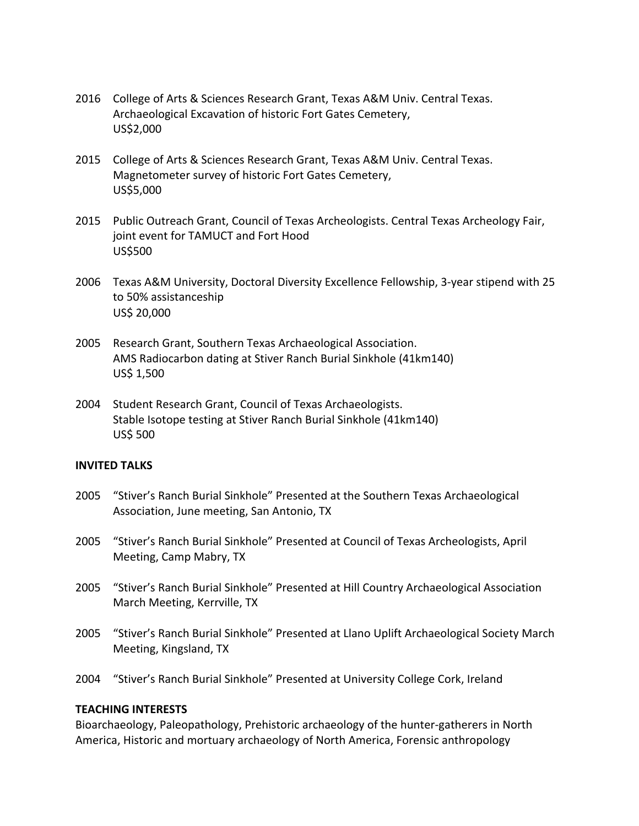- 2016 College of Arts & Sciences Research Grant, Texas A&M Univ. Central Texas. Archaeological Excavation of historic Fort Gates Cemetery, US\$2,000
- 2015 College of Arts & Sciences Research Grant, Texas A&M Univ. Central Texas. Magnetometer survey of historic Fort Gates Cemetery, US\$5,000
- 2015 Public Outreach Grant, Council of Texas Archeologists. Central Texas Archeology Fair, joint event for TAMUCT and Fort Hood US\$500
- 2006 Texas A&M University, Doctoral Diversity Excellence Fellowship, 3-year stipend with 25 to 50% assistanceship US\$ 20,000
- 2005 Research Grant, Southern Texas Archaeological Association. AMS Radiocarbon dating at Stiver Ranch Burial Sinkhole (41km140) US\$ 1,500
- 2004 Student Research Grant, Council of Texas Archaeologists. Stable Isotope testing at Stiver Ranch Burial Sinkhole (41km140) US\$ 500

## **INVITED TALKS**

- 2005 "Stiver's Ranch Burial Sinkhole" Presented at the Southern Texas Archaeological Association, June meeting, San Antonio, TX
- 2005 "Stiver's Ranch Burial Sinkhole" Presented at Council of Texas Archeologists, April Meeting, Camp Mabry, TX
- 2005 "Stiver's Ranch Burial Sinkhole" Presented at Hill Country Archaeological Association March Meeting, Kerrville, TX
- 2005 "Stiver's Ranch Burial Sinkhole" Presented at Llano Uplift Archaeological Society March Meeting, Kingsland, TX
- 2004 "Stiver's Ranch Burial Sinkhole" Presented at University College Cork, Ireland

#### **TEACHING INTERESTS**

Bioarchaeology, Paleopathology, Prehistoric archaeology of the hunter-gatherers in North America, Historic and mortuary archaeology of North America, Forensic anthropology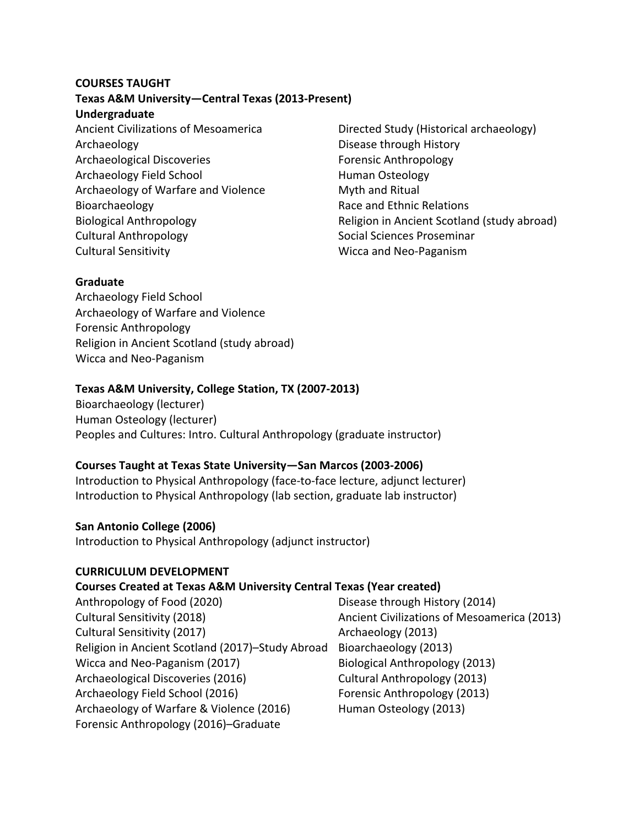# **COURSES TAUGHT**

## **Texas A&M University—Central Texas (2013-Present)**

#### **Undergraduate**

Ancient Civilizations of Mesoamerica Archaeology Archaeological Discoveries Archaeology Field School Archaeology of Warfare and Violence Bioarchaeology Biological Anthropology Cultural Anthropology Cultural Sensitivity

Directed Study (Historical archaeology) Disease through History Forensic Anthropology Human Osteology Myth and Ritual Race and Ethnic Relations Religion in Ancient Scotland (study abroad) Social Sciences Proseminar Wicca and Neo-Paganism

# **Graduate**

Archaeology Field School Archaeology of Warfare and Violence Forensic Anthropology Religion in Ancient Scotland (study abroad) Wicca and Neo-Paganism

# **Texas A&M University, College Station, TX (2007-2013)**

Bioarchaeology (lecturer) Human Osteology (lecturer) Peoples and Cultures: Intro. Cultural Anthropology (graduate instructor)

# **Courses Taught at Texas State University—San Marcos (2003-2006)**

Introduction to Physical Anthropology (face-to-face lecture, adjunct lecturer) Introduction to Physical Anthropology (lab section, graduate lab instructor)

# **San Antonio College (2006)**

Introduction to Physical Anthropology (adjunct instructor)

## **CURRICULUM DEVELOPMENT**

## **Courses Created at Texas A&M University Central Texas (Year created)**

Anthropology of Food (2020) Disease through History (2014) Cultural Sensitivity (2018) Ancient Civilizations of Mesoamerica (2013) Cultural Sensitivity (2017) The Cultural Sensitivity (2017) Religion in Ancient Scotland (2017)–Study Abroad Bioarchaeology (2013) Wicca and Neo-Paganism (2017) Biological Anthropology (2013) Archaeological Discoveries (2016) Cultural Anthropology (2013) Archaeology Field School (2016) Forensic Anthropology (2013) Archaeology of Warfare & Violence (2016) Human Osteology (2013) Forensic Anthropology (2016)–Graduate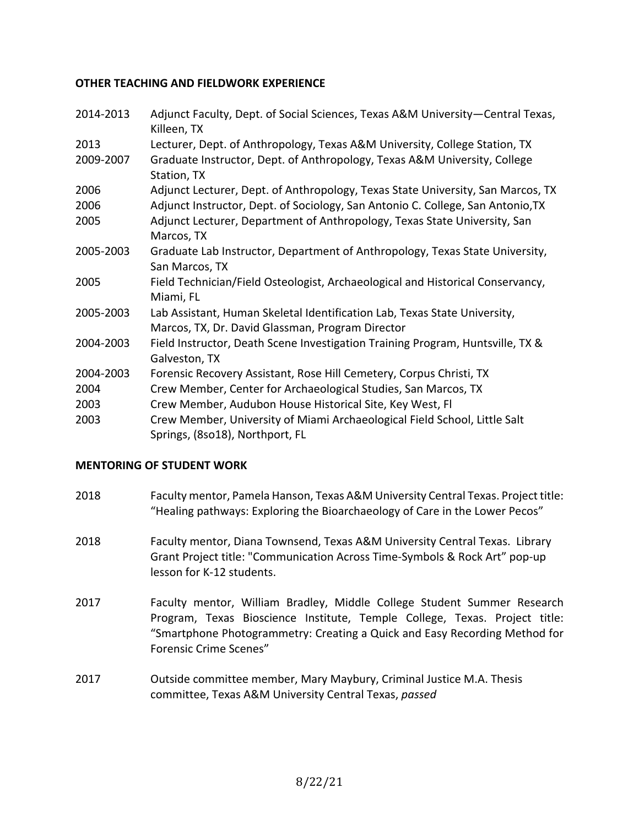# **OTHER TEACHING AND FIELDWORK EXPERIENCE**

| 2014-2013 | Adjunct Faculty, Dept. of Social Sciences, Texas A&M University-Central Texas,<br>Killeen, TX                                 |
|-----------|-------------------------------------------------------------------------------------------------------------------------------|
| 2013      | Lecturer, Dept. of Anthropology, Texas A&M University, College Station, TX                                                    |
| 2009-2007 | Graduate Instructor, Dept. of Anthropology, Texas A&M University, College<br>Station, TX                                      |
| 2006      | Adjunct Lecturer, Dept. of Anthropology, Texas State University, San Marcos, TX                                               |
| 2006      | Adjunct Instructor, Dept. of Sociology, San Antonio C. College, San Antonio, TX                                               |
| 2005      | Adjunct Lecturer, Department of Anthropology, Texas State University, San<br>Marcos, TX                                       |
| 2005-2003 | Graduate Lab Instructor, Department of Anthropology, Texas State University,<br>San Marcos, TX                                |
| 2005      | Field Technician/Field Osteologist, Archaeological and Historical Conservancy,<br>Miami, FL                                   |
| 2005-2003 | Lab Assistant, Human Skeletal Identification Lab, Texas State University,<br>Marcos, TX, Dr. David Glassman, Program Director |
| 2004-2003 | Field Instructor, Death Scene Investigation Training Program, Huntsville, TX &<br>Galveston, TX                               |
| 2004-2003 | Forensic Recovery Assistant, Rose Hill Cemetery, Corpus Christi, TX                                                           |
| 2004      | Crew Member, Center for Archaeological Studies, San Marcos, TX                                                                |
| 2003      | Crew Member, Audubon House Historical Site, Key West, Fl                                                                      |
| 2003      | Crew Member, University of Miami Archaeological Field School, Little Salt<br>Springs, (8so18), Northport, FL                  |

## **MENTORING OF STUDENT WORK**

- 2018 Faculty mentor, Pamela Hanson, Texas A&M University Central Texas. Project title: "Healing pathways: Exploring the Bioarchaeology of Care in the Lower Pecos"
- 2018 Faculty mentor, Diana Townsend, Texas A&M University Central Texas. Library Grant Project title: "Communication Across Time-Symbols & Rock Art" pop-up lesson for K-12 students.
- 2017 Faculty mentor, William Bradley, Middle College Student Summer Research Program, Texas Bioscience Institute, Temple College, Texas. Project title: "Smartphone Photogrammetry: Creating a Quick and Easy Recording Method for Forensic Crime Scenes"
- 2017 Outside committee member, Mary Maybury, Criminal Justice M.A. Thesis committee, Texas A&M University Central Texas, *passed*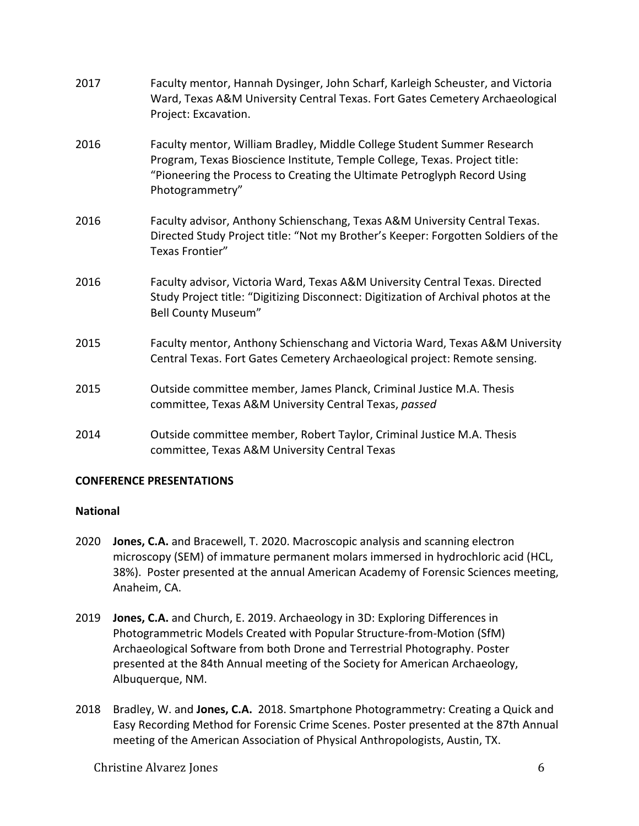| 2017 | Faculty mentor, Hannah Dysinger, John Scharf, Karleigh Scheuster, and Victoria<br>Ward, Texas A&M University Central Texas. Fort Gates Cemetery Archaeological<br>Project: Excavation.                                                               |
|------|------------------------------------------------------------------------------------------------------------------------------------------------------------------------------------------------------------------------------------------------------|
| 2016 | Faculty mentor, William Bradley, Middle College Student Summer Research<br>Program, Texas Bioscience Institute, Temple College, Texas. Project title:<br>"Pioneering the Process to Creating the Ultimate Petroglyph Record Using<br>Photogrammetry" |
| 2016 | Faculty advisor, Anthony Schienschang, Texas A&M University Central Texas.<br>Directed Study Project title: "Not my Brother's Keeper: Forgotten Soldiers of the<br>Texas Frontier"                                                                   |
| 2016 | Faculty advisor, Victoria Ward, Texas A&M University Central Texas. Directed<br>Study Project title: "Digitizing Disconnect: Digitization of Archival photos at the<br><b>Bell County Museum"</b>                                                    |
| 2015 | Faculty mentor, Anthony Schienschang and Victoria Ward, Texas A&M University<br>Central Texas. Fort Gates Cemetery Archaeological project: Remote sensing.                                                                                           |
| 2015 | Outside committee member, James Planck, Criminal Justice M.A. Thesis<br>committee, Texas A&M University Central Texas, passed                                                                                                                        |
| 2014 | Outside committee member, Robert Taylor, Criminal Justice M.A. Thesis<br>committee, Texas A&M University Central Texas                                                                                                                               |

# **CONFERENCE PRESENTATIONS**

## **National**

- 2020 **Jones, C.A.** and Bracewell, T. 2020. Macroscopic analysis and scanning electron microscopy (SEM) of immature permanent molars immersed in hydrochloric acid (HCL, 38%). Poster presented at the annual American Academy of Forensic Sciences meeting, Anaheim, CA.
- 2019 **Jones, C.A.** and Church, E. 2019. Archaeology in 3D: Exploring Differences in Photogrammetric Models Created with Popular Structure-from-Motion (SfM) Archaeological Software from both Drone and Terrestrial Photography. Poster presented at the 84th Annual meeting of the Society for American Archaeology, Albuquerque, NM.
- 2018 Bradley, W. and **Jones, C.A.** 2018. Smartphone Photogrammetry: Creating a Quick and Easy Recording Method for Forensic Crime Scenes. Poster presented at the 87th Annual meeting of the American Association of Physical Anthropologists, Austin, TX.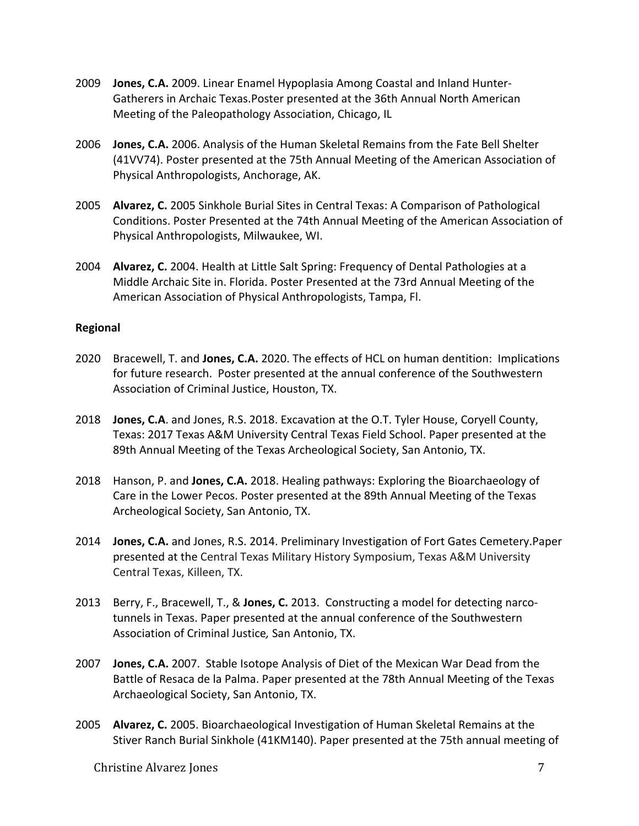- 2009 **Jones, C.A.** 2009. Linear Enamel Hypoplasia Among Coastal and Inland Hunter-Gatherers in Archaic Texas.Poster presented at the 36th Annual North American Meeting of the Paleopathology Association, Chicago, IL
- 2006 **Jones, C.A.** 2006. Analysis of the Human Skeletal Remains from the Fate Bell Shelter (41VV74). Poster presented at the 75th Annual Meeting of the American Association of Physical Anthropologists, Anchorage, AK.
- 2005 **Alvarez, C.** 2005 Sinkhole Burial Sites in Central Texas: A Comparison of Pathological Conditions. Poster Presented at the 74th Annual Meeting of the American Association of Physical Anthropologists, Milwaukee, WI.
- 2004 **Alvarez, C.** 2004. Health at Little Salt Spring: Frequency of Dental Pathologies at a Middle Archaic Site in. Florida. Poster Presented at the 73rd Annual Meeting of the American Association of Physical Anthropologists, Tampa, Fl.

## **Regional**

- 2020 Bracewell, T. and **Jones, C.A.** 2020. The effects of HCL on human dentition: Implications for future research. Poster presented at the annual conference of the Southwestern Association of Criminal Justice, Houston, TX.
- 2018 **Jones, C.A**. and Jones, R.S. 2018. Excavation at the O.T. Tyler House, Coryell County, Texas: 2017 Texas A&M University Central Texas Field School. Paper presented at the 89th Annual Meeting of the Texas Archeological Society, San Antonio, TX.
- 2018 Hanson, P. and **Jones, C.A.** 2018. Healing pathways: Exploring the Bioarchaeology of Care in the Lower Pecos. Poster presented at the 89th Annual Meeting of the Texas Archeological Society, San Antonio, TX.
- 2014 **Jones, C.A.** and Jones, R.S. 2014. Preliminary Investigation of Fort Gates Cemetery.Paper presented at the Central Texas Military History Symposium, Texas A&M University Central Texas, Killeen, TX.
- 2013 Berry, F., Bracewell, T., & **Jones, C.** 2013. Constructing a model for detecting narcotunnels in Texas. Paper presented at the annual conference of the Southwestern Association of Criminal Justice*,* San Antonio, TX.
- 2007 **Jones, C.A.** 2007. Stable Isotope Analysis of Diet of the Mexican War Dead from the Battle of Resaca de la Palma. Paper presented at the 78th Annual Meeting of the Texas Archaeological Society, San Antonio, TX.
- 2005 **Alvarez, C.** 2005. Bioarchaeological Investigation of Human Skeletal Remains at the Stiver Ranch Burial Sinkhole (41KM140). Paper presented at the 75th annual meeting of

Christine Alvarez Jones 7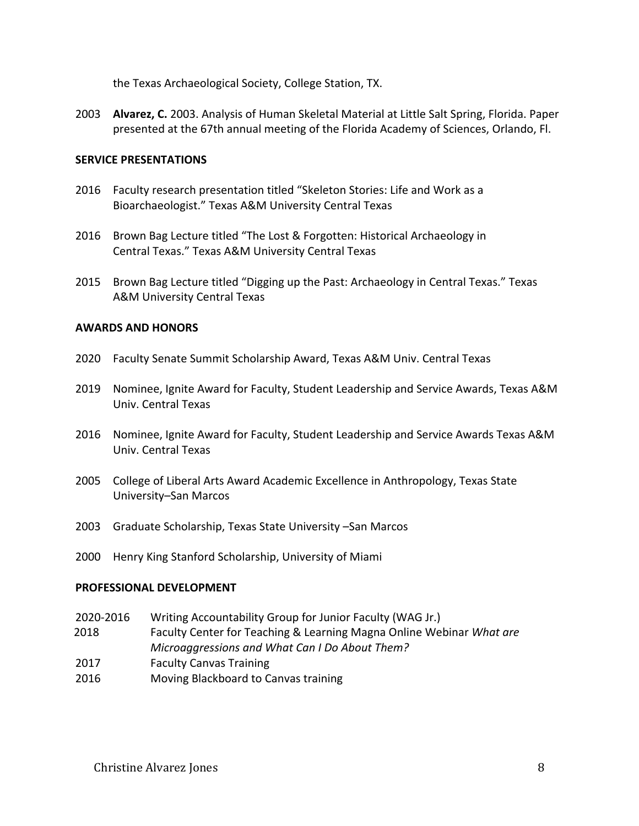the Texas Archaeological Society, College Station, TX.

2003 **Alvarez, C.** 2003. Analysis of Human Skeletal Material at Little Salt Spring, Florida. Paper presented at the 67th annual meeting of the Florida Academy of Sciences, Orlando, Fl.

#### **SERVICE PRESENTATIONS**

- 2016 Faculty research presentation titled "Skeleton Stories: Life and Work as a Bioarchaeologist." Texas A&M University Central Texas
- 2016 Brown Bag Lecture titled "The Lost & Forgotten: Historical Archaeology in Central Texas." Texas A&M University Central Texas
- 2015 Brown Bag Lecture titled "Digging up the Past: Archaeology in Central Texas." Texas A&M University Central Texas

#### **AWARDS AND HONORS**

- 2020 Faculty Senate Summit Scholarship Award, Texas A&M Univ. Central Texas
- 2019 Nominee, Ignite Award for Faculty, Student Leadership and Service Awards, Texas A&M Univ. Central Texas
- 2016 Nominee, Ignite Award for Faculty, Student Leadership and Service Awards Texas A&M Univ. Central Texas
- 2005 College of Liberal Arts Award Academic Excellence in Anthropology, Texas State University–San Marcos
- 2003 Graduate Scholarship, Texas State University –San Marcos
- 2000 Henry King Stanford Scholarship, University of Miami

#### **PROFESSIONAL DEVELOPMENT**

- 2020-2016 Writing Accountability Group for Junior Faculty (WAG Jr.)
- 2018 Faculty Center for Teaching & Learning Magna Online Webinar *What are Microaggressions and What Can I Do About Them?*
- 2017 Faculty Canvas Training
- 2016 Moving Blackboard to Canvas training